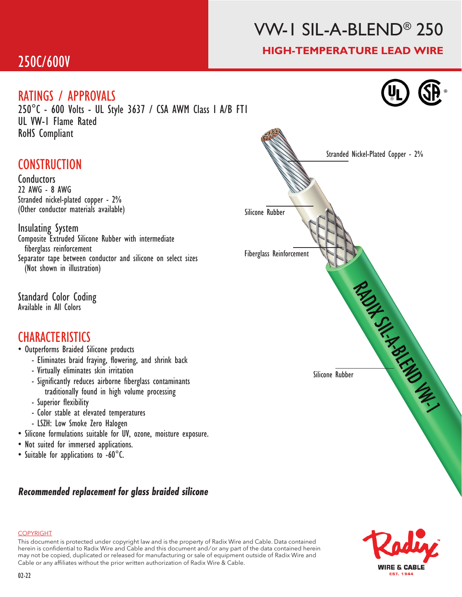# VW-1 SIL-A-BLEND® 250

#### HIGH-TEMPERATURE LEAD WIRE

®

### 250C/600V

#### RATINGS / APPROVALS

250°C - 600 Volts - UL Style 3637 / CSA AWM Class I A/B FT1 UL VW-1 Flame Rated RoHS Compliant

### **CONSTRUCTION**

**Conductors** 22 AWG - 8 AWG Stranded nickel-plated copper - 2% (Other conductor materials available)

Insulating System Composite Extruded Silicone Rubber with intermediate fiberglass reinforcement Separator tape between conductor and silicone on select sizes (Not shown in illustration)

Standard Color Coding Available in All Colors

#### **CHARACTERISTICS**

- Outperforms Braided Silicone products
	- Eliminates braid fraying, flowering, and shrink back
	- Virtually eliminates skin irritation
	- Significantly reduces airborne fiberglass contaminants traditionally found in high volume processing
	- Superior flexibility
	- Color stable at elevated temperatures
	- LSZH: Low Smoke Zero Halogen
- Silicone formulations suitable for UV, ozone, moisture exposure.
- Not suited for immersed applications.
- Suitable for applications to -60°C.

#### *Recommended replacement for glass braided silicone*





#### **COPYRIGHT**

This document is protected under copyright law and is the property of Radix Wire and Cable. Data contained herein is confidential to Radix Wire and Cable and this document and / or any part of the data contained herein may not be copied, duplicated or released for manufacturing or sale of equipment outside of Radix Wire and Cable or any affiliates without the prior written authorization of Radix Wire & Cable.